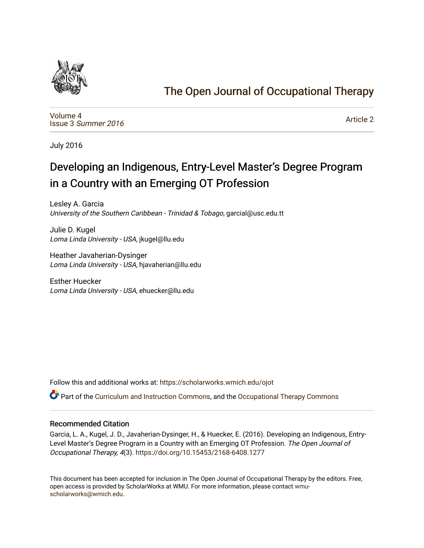

# [The Open Journal of Occupational Therapy](https://scholarworks.wmich.edu/ojot)

[Volume 4](https://scholarworks.wmich.edu/ojot/vol4) Issue 3 [Summer 2016](https://scholarworks.wmich.edu/ojot/vol4/iss3) 

[Article 2](https://scholarworks.wmich.edu/ojot/vol4/iss3/2) 

July 2016

# Developing an Indigenous, Entry-Level Master's Degree Program in a Country with an Emerging OT Profession

Lesley A. Garcia University of the Southern Caribbean - Trinidad & Tobago, garcial@usc.edu.tt

Julie D. Kugel Loma Linda University - USA, jkugel@llu.edu

Heather Javaherian-Dysinger Loma Linda University - USA, hjavaherian@llu.edu

Esther Huecker Loma Linda University - USA, ehuecker@llu.edu

Follow this and additional works at: [https://scholarworks.wmich.edu/ojot](https://scholarworks.wmich.edu/ojot?utm_source=scholarworks.wmich.edu%2Fojot%2Fvol4%2Fiss3%2F2&utm_medium=PDF&utm_campaign=PDFCoverPages)

Part of the [Curriculum and Instruction Commons,](http://network.bepress.com/hgg/discipline/786?utm_source=scholarworks.wmich.edu%2Fojot%2Fvol4%2Fiss3%2F2&utm_medium=PDF&utm_campaign=PDFCoverPages) and the [Occupational Therapy Commons](http://network.bepress.com/hgg/discipline/752?utm_source=scholarworks.wmich.edu%2Fojot%2Fvol4%2Fiss3%2F2&utm_medium=PDF&utm_campaign=PDFCoverPages)

### Recommended Citation

Garcia, L. A., Kugel, J. D., Javaherian-Dysinger, H., & Huecker, E. (2016). Developing an Indigenous, Entry-Level Master's Degree Program in a Country with an Emerging OT Profession. The Open Journal of Occupational Therapy, 4(3). <https://doi.org/10.15453/2168-6408.1277>

This document has been accepted for inclusion in The Open Journal of Occupational Therapy by the editors. Free, open access is provided by ScholarWorks at WMU. For more information, please contact [wmu](mailto:wmu-scholarworks@wmich.edu)[scholarworks@wmich.edu.](mailto:wmu-scholarworks@wmich.edu)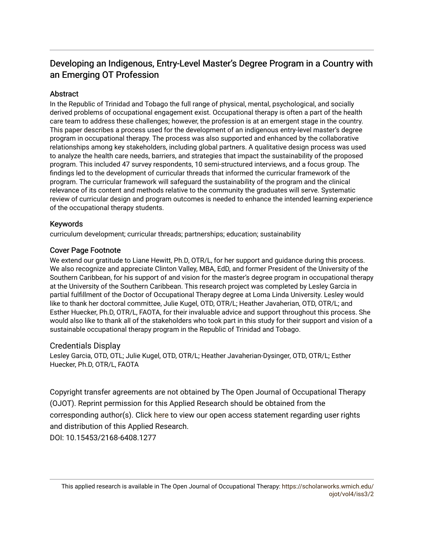### Developing an Indigenous, Entry-Level Master's Degree Program in a Country with an Emerging OT Profession

### **Abstract**

In the Republic of Trinidad and Tobago the full range of physical, mental, psychological, and socially derived problems of occupational engagement exist. Occupational therapy is often a part of the health care team to address these challenges; however, the profession is at an emergent stage in the country. This paper describes a process used for the development of an indigenous entry-level master's degree program in occupational therapy. The process was also supported and enhanced by the collaborative relationships among key stakeholders, including global partners. A qualitative design process was used to analyze the health care needs, barriers, and strategies that impact the sustainability of the proposed program. This included 47 survey respondents, 10 semi-structured interviews, and a focus group. The findings led to the development of curricular threads that informed the curricular framework of the program. The curricular framework will safeguard the sustainability of the program and the clinical relevance of its content and methods relative to the community the graduates will serve. Systematic review of curricular design and program outcomes is needed to enhance the intended learning experience of the occupational therapy students.

### Keywords

curriculum development; curricular threads; partnerships; education; sustainability

### Cover Page Footnote

We extend our gratitude to Liane Hewitt, Ph.D, OTR/L, for her support and guidance during this process. We also recognize and appreciate Clinton Valley, MBA, EdD, and former President of the University of the Southern Caribbean, for his support of and vision for the master's degree program in occupational therapy at the University of the Southern Caribbean. This research project was completed by Lesley Garcia in partial fulfillment of the Doctor of Occupational Therapy degree at Loma Linda University. Lesley would like to thank her doctoral committee, Julie Kugel, OTD, OTR/L; Heather Javaherian, OTD, OTR/L; and Esther Huecker, Ph.D, OTR/L, FAOTA, for their invaluable advice and support throughout this process. She would also like to thank all of the stakeholders who took part in this study for their support and vision of a sustainable occupational therapy program in the Republic of Trinidad and Tobago.

### Credentials Display

Lesley Garcia, OTD, OTL; Julie Kugel, OTD, OTR/L; Heather Javaherian-Dysinger, OTD, OTR/L; Esther Huecker, Ph.D, OTR/L, FAOTA

Copyright transfer agreements are not obtained by The Open Journal of Occupational Therapy (OJOT). Reprint permission for this Applied Research should be obtained from the corresponding author(s). Click [here](https://scholarworks.wmich.edu/ojot/policies.html#rights) to view our open access statement regarding user rights and distribution of this Applied Research.

DOI: 10.15453/2168-6408.1277

This applied research is available in The Open Journal of Occupational Therapy: [https://scholarworks.wmich.edu/](https://scholarworks.wmich.edu/ojot/vol4/iss3/2) [ojot/vol4/iss3/2](https://scholarworks.wmich.edu/ojot/vol4/iss3/2)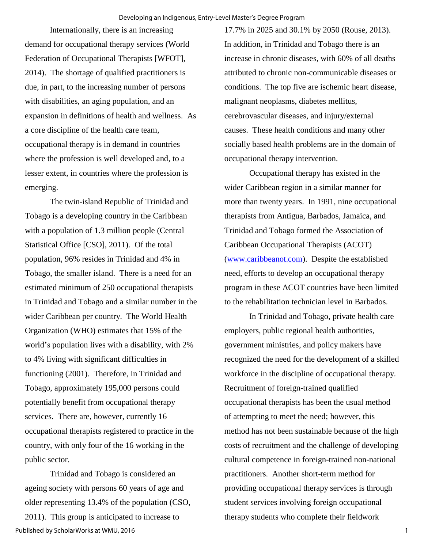Internationally, there is an increasing demand for occupational therapy services (World Federation of Occupational Therapists [WFOT], 2014). The shortage of qualified practitioners is due, in part, to the increasing number of persons with disabilities, an aging population, and an expansion in definitions of health and wellness. As a core discipline of the health care team, occupational therapy is in demand in countries where the profession is well developed and, to a lesser extent, in countries where the profession is emerging.

The twin-island Republic of Trinidad and Tobago is a developing country in the Caribbean with a population of 1.3 million people (Central Statistical Office [CSO], 2011). Of the total population, 96% resides in Trinidad and 4% in Tobago, the smaller island. There is a need for an estimated minimum of 250 occupational therapists in Trinidad and Tobago and a similar number in the wider Caribbean per country. The World Health Organization (WHO) estimates that 15% of the world's population lives with a disability, with 2% to 4% living with significant difficulties in functioning (2001). Therefore, in Trinidad and Tobago, approximately 195,000 persons could potentially benefit from occupational therapy services. There are, however, currently 16 occupational therapists registered to practice in the country, with only four of the 16 working in the public sector.

Trinidad and Tobago is considered an ageing society with persons 60 years of age and older representing 13.4% of the population (CSO, 2011). This group is anticipated to increase to Published by ScholarWorks at WMU, 2016

17.7% in 2025 and 30.1% by 2050 (Rouse, 2013). In addition, in Trinidad and Tobago there is an increase in chronic diseases, with 60% of all deaths attributed to chronic non-communicable diseases or conditions. The top five are ischemic heart disease, malignant neoplasms, diabetes mellitus, cerebrovascular diseases, and injury/external causes. These health conditions and many other socially based health problems are in the domain of occupational therapy intervention.

 Occupational therapy has existed in the wider Caribbean region in a similar manner for more than twenty years. In 1991, nine occupational therapists from Antigua, Barbados, Jamaica, and Trinidad and Tobago formed the Association of Caribbean Occupational Therapists (ACOT) [\(www.caribbeanot.com\)](www.caribbeanot.com). Despite the established need, efforts to develop an occupational therapy program in these ACOT countries have been limited to the rehabilitation technician level in Barbados.

In Trinidad and Tobago, private health care employers, public regional health authorities, government ministries, and policy makers have recognized the need for the development of a skilled workforce in the discipline of occupational therapy. Recruitment of foreign-trained qualified occupational therapists has been the usual method of attempting to meet the need; however, this method has not been sustainable because of the high costs of recruitment and the challenge of developing cultural competence in foreign-trained non-national practitioners. Another short-term method for providing occupational therapy services is through student services involving foreign occupational therapy students who complete their fieldwork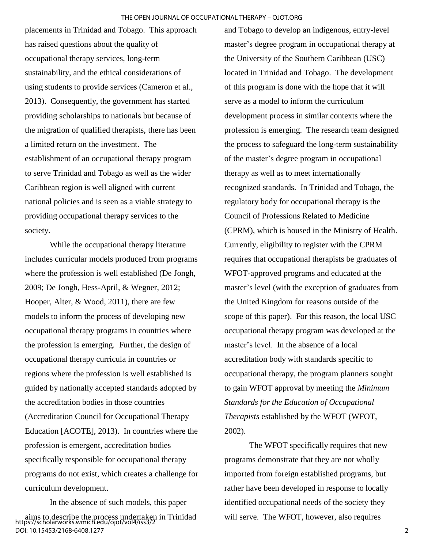placements in Trinidad and Tobago. This approach has raised questions about the quality of occupational therapy services, long-term sustainability, and the ethical considerations of using students to provide services (Cameron et al., 2013). Consequently, the government has started providing scholarships to nationals but because of the migration of qualified therapists, there has been a limited return on the investment. The establishment of an occupational therapy program to serve Trinidad and Tobago as well as the wider Caribbean region is well aligned with current national policies and is seen as a viable strategy to providing occupational therapy services to the society.

While the occupational therapy literature includes curricular models produced from programs where the profession is well established (De Jongh, 2009; De Jongh, Hess-April, & Wegner, 2012; Hooper, Alter, & Wood, 2011), there are few models to inform the process of developing new occupational therapy programs in countries where the profession is emerging. Further, the design of occupational therapy curricula in countries or regions where the profession is well established is guided by nationally accepted standards adopted by the accreditation bodies in those countries (Accreditation Council for Occupational Therapy Education [ACOTE], 2013). In countries where the profession is emergent, accreditation bodies specifically responsible for occupational therapy programs do not exist, which creates a challenge for curriculum development.

In the absence of such models, this paper aims to describe the process undertaken in Trinidad https://scholarworks.wmich.edu/ojot/vol4/iss3/2 DOI: 10.15453/2168-6408.1277

and Tobago to develop an indigenous, entry-level master's degree program in occupational therapy at the University of the Southern Caribbean (USC) located in Trinidad and Tobago. The development of this program is done with the hope that it will serve as a model to inform the curriculum development process in similar contexts where the profession is emerging. The research team designed the process to safeguard the long-term sustainability of the master's degree program in occupational therapy as well as to meet internationally recognized standards. In Trinidad and Tobago, the regulatory body for occupational therapy is the Council of Professions Related to Medicine (CPRM), which is housed in the Ministry of Health. Currently, eligibility to register with the CPRM requires that occupational therapists be graduates of WFOT-approved programs and educated at the master's level (with the exception of graduates from the United Kingdom for reasons outside of the scope of this paper). For this reason, the local USC occupational therapy program was developed at the master's level. In the absence of a local accreditation body with standards specific to occupational therapy, the program planners sought to gain WFOT approval by meeting the *Minimum Standards for the Education of Occupational Therapists* established by the WFOT (WFOT, 2002).

The WFOT specifically requires that new programs demonstrate that they are not wholly imported from foreign established programs, but rather have been developed in response to locally identified occupational needs of the society they will serve. The WFOT, however, also requires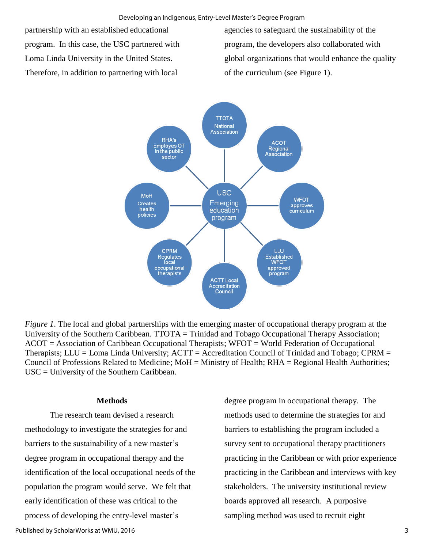partnership with an established educational program. In this case, the USC partnered with Loma Linda University in the United States. Therefore, in addition to partnering with local

agencies to safeguard the sustainability of the program, the developers also collaborated with global organizations that would enhance the quality of the curriculum (see Figure 1).



*Figure 1*. The local and global partnerships with the emerging master of occupational therapy program at the University of the Southern Caribbean. TTOTA = Trinidad and Tobago Occupational Therapy Association; ACOT = Association of Caribbean Occupational Therapists; WFOT = World Federation of Occupational Therapists; LLU = Loma Linda University; ACTT = Accreditation Council of Trinidad and Tobago; CPRM = Council of Professions Related to Medicine; MoH = Ministry of Health; RHA = Regional Health Authorities; USC = University of the Southern Caribbean.

#### **Methods**

The research team devised a research methodology to investigate the strategies for and barriers to the sustainability of a new master's degree program in occupational therapy and the identification of the local occupational needs of the population the program would serve. We felt that early identification of these was critical to the process of developing the entry-level master's

degree program in occupational therapy. The methods used to determine the strategies for and barriers to establishing the program included a survey sent to occupational therapy practitioners practicing in the Caribbean or with prior experience practicing in the Caribbean and interviews with key stakeholders. The university institutional review boards approved all research. A purposive sampling method was used to recruit eight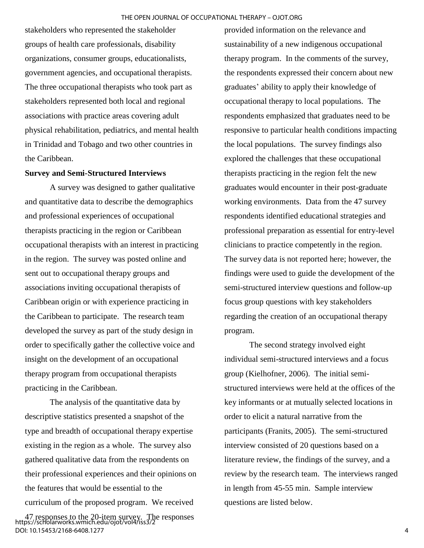stakeholders who represented the stakeholder groups of health care professionals, disability organizations, consumer groups, educationalists, government agencies, and occupational therapists. The three occupational therapists who took part as stakeholders represented both local and regional associations with practice areas covering adult physical rehabilitation, pediatrics, and mental health in Trinidad and Tobago and two other countries in the Caribbean.

#### **Survey and Semi-Structured Interviews**

A survey was designed to gather qualitative and quantitative data to describe the demographics and professional experiences of occupational therapists practicing in the region or Caribbean occupational therapists with an interest in practicing in the region. The survey was posted online and sent out to occupational therapy groups and associations inviting occupational therapists of Caribbean origin or with experience practicing in the Caribbean to participate. The research team developed the survey as part of the study design in order to specifically gather the collective voice and insight on the development of an occupational therapy program from occupational therapists practicing in the Caribbean.

The analysis of the quantitative data by descriptive statistics presented a snapshot of the type and breadth of occupational therapy expertise existing in the region as a whole. The survey also gathered qualitative data from the respondents on their professional experiences and their opinions on the features that would be essential to the curriculum of the proposed program. We received 47 responses to the 20-item survey. The responses https://scholarworks.wmich.edu/ojot/vol4/iss3/2 DOI: 10.15453/2168-6408.1277

provided information on the relevance and sustainability of a new indigenous occupational therapy program. In the comments of the survey, the respondents expressed their concern about new graduates' ability to apply their knowledge of occupational therapy to local populations. The respondents emphasized that graduates need to be responsive to particular health conditions impacting the local populations. The survey findings also explored the challenges that these occupational therapists practicing in the region felt the new graduates would encounter in their post-graduate working environments. Data from the 47 survey respondents identified educational strategies and professional preparation as essential for entry-level clinicians to practice competently in the region. The survey data is not reported here; however, the findings were used to guide the development of the semi-structured interview questions and follow-up focus group questions with key stakeholders regarding the creation of an occupational therapy program.

The second strategy involved eight individual semi-structured interviews and a focus group (Kielhofner, 2006). The initial semistructured interviews were held at the offices of the key informants or at mutually selected locations in order to elicit a natural narrative from the participants (Franits, 2005). The semi-structured interview consisted of 20 questions based on a literature review, the findings of the survey, and a review by the research team. The interviews ranged in length from 45-55 min. Sample interview questions are listed below.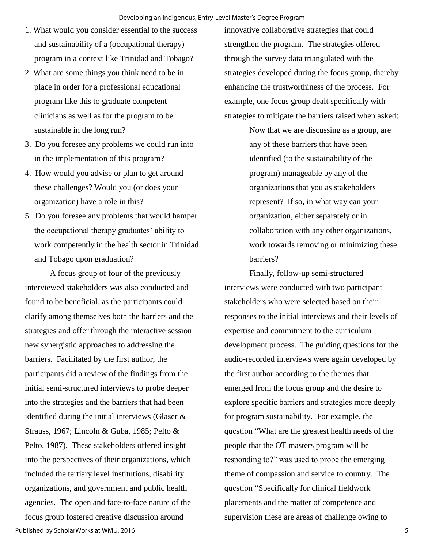- 1. What would you consider essential to the success and sustainability of a (occupational therapy) program in a context like Trinidad and Tobago?
- 2. What are some things you think need to be in place in order for a professional educational program like this to graduate competent clinicians as well as for the program to be sustainable in the long run?
- 3. Do you foresee any problems we could run into in the implementation of this program?
- 4. How would you advise or plan to get around these challenges? Would you (or does your organization) have a role in this?
- 5. Do you foresee any problems that would hamper the occupational therapy graduates' ability to work competently in the health sector in Trinidad and Tobago upon graduation?

A focus group of four of the previously interviewed stakeholders was also conducted and found to be beneficial, as the participants could clarify among themselves both the barriers and the strategies and offer through the interactive session new synergistic approaches to addressing the barriers. Facilitated by the first author, the participants did a review of the findings from the initial semi-structured interviews to probe deeper into the strategies and the barriers that had been identified during the initial interviews (Glaser & Strauss, 1967; Lincoln & Guba, 1985; Pelto & Pelto, 1987). These stakeholders offered insight into the perspectives of their organizations, which included the tertiary level institutions, disability organizations, and government and public health agencies. The open and face-to-face nature of the focus group fostered creative discussion around

innovative collaborative strategies that could strengthen the program. The strategies offered through the survey data triangulated with the strategies developed during the focus group, thereby enhancing the trustworthiness of the process. For example, one focus group dealt specifically with strategies to mitigate the barriers raised when asked:

> Now that we are discussing as a group, are any of these barriers that have been identified (to the sustainability of the program) manageable by any of the organizations that you as stakeholders represent? If so, in what way can your organization, either separately or in collaboration with any other organizations, work towards removing or minimizing these barriers?

Finally, follow-up semi-structured interviews were conducted with two participant stakeholders who were selected based on their responses to the initial interviews and their levels of expertise and commitment to the curriculum development process. The guiding questions for the audio-recorded interviews were again developed by the first author according to the themes that emerged from the focus group and the desire to explore specific barriers and strategies more deeply for program sustainability. For example, the question "What are the greatest health needs of the people that the OT masters program will be responding to?" was used to probe the emerging theme of compassion and service to country. The question "Specifically for clinical fieldwork placements and the matter of competence and supervision these are areas of challenge owing to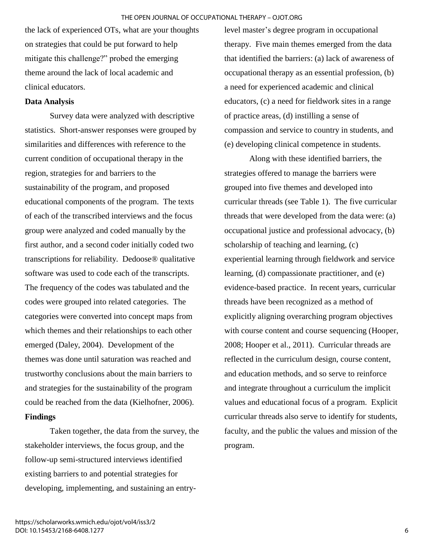the lack of experienced OTs, what are your thoughts on strategies that could be put forward to help mitigate this challenge?" probed the emerging theme around the lack of local academic and clinical educators.

#### **Data Analysis**

Survey data were analyzed with descriptive statistics. Short-answer responses were grouped by similarities and differences with reference to the current condition of occupational therapy in the region, strategies for and barriers to the sustainability of the program, and proposed educational components of the program. The texts of each of the transcribed interviews and the focus group were analyzed and coded manually by the first author, and a second coder initially coded two transcriptions for reliability. Dedoose® qualitative software was used to code each of the transcripts. The frequency of the codes was tabulated and the codes were grouped into related categories. The categories were converted into concept maps from which themes and their relationships to each other emerged (Daley, 2004). Development of the themes was done until saturation was reached and trustworthy conclusions about the main barriers to and strategies for the sustainability of the program could be reached from the data (Kielhofner, 2006). **Findings** 

Taken together, the data from the survey, the stakeholder interviews, the focus group, and the follow-up semi-structured interviews identified existing barriers to and potential strategies for developing, implementing, and sustaining an entrylevel master's degree program in occupational therapy. Five main themes emerged from the data that identified the barriers: (a) lack of awareness of occupational therapy as an essential profession, (b) a need for experienced academic and clinical educators, (c) a need for fieldwork sites in a range of practice areas, (d) instilling a sense of compassion and service to country in students, and (e) developing clinical competence in students.

Along with these identified barriers, the strategies offered to manage the barriers were grouped into five themes and developed into curricular threads (see Table 1). The five curricular threads that were developed from the data were: (a) occupational justice and professional advocacy, (b) scholarship of teaching and learning, (c) experiential learning through fieldwork and service learning, (d) compassionate practitioner, and (e) evidence-based practice. In recent years, curricular threads have been recognized as a method of explicitly aligning overarching program objectives with course content and course sequencing (Hooper, 2008; Hooper et al., 2011). Curricular threads are reflected in the curriculum design, course content, and education methods, and so serve to reinforce and integrate throughout a curriculum the implicit values and educational focus of a program. Explicit curricular threads also serve to identify for students, faculty, and the public the values and mission of the program.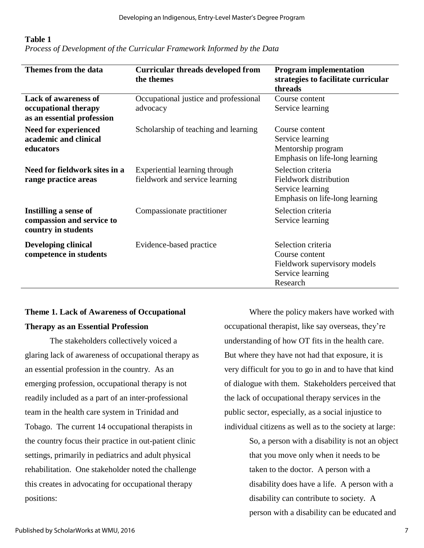#### **Table 1**

|  |  |  | Process of Development of the Curricular Framework Informed by the Data |  |  |
|--|--|--|-------------------------------------------------------------------------|--|--|
|  |  |  |                                                                         |  |  |

| Themes from the data                                                              | <b>Curricular threads developed from</b><br>the themes          | <b>Program implementation</b><br>strategies to facilitate curricular<br>threads                      |
|-----------------------------------------------------------------------------------|-----------------------------------------------------------------|------------------------------------------------------------------------------------------------------|
| <b>Lack of awareness of</b><br>occupational therapy<br>as an essential profession | Occupational justice and professional<br>advocacy               | Course content<br>Service learning                                                                   |
| <b>Need for experienced</b><br>academic and clinical<br>educators                 | Scholarship of teaching and learning                            | Course content<br>Service learning<br>Mentorship program<br>Emphasis on life-long learning           |
| Need for fieldwork sites in a<br>range practice areas                             | Experiential learning through<br>fieldwork and service learning | Selection criteria<br>Fieldwork distribution<br>Service learning<br>Emphasis on life-long learning   |
| Instilling a sense of<br>compassion and service to<br>country in students         | Compassionate practitioner                                      | Selection criteria<br>Service learning                                                               |
| <b>Developing clinical</b><br>competence in students                              | Evidence-based practice                                         | Selection criteria<br>Course content<br>Fieldwork supervisory models<br>Service learning<br>Research |

### **Theme 1. Lack of Awareness of Occupational Therapy as an Essential Profession**

The stakeholders collectively voiced a glaring lack of awareness of occupational therapy as an essential profession in the country. As an emerging profession, occupational therapy is not readily included as a part of an inter-professional team in the health care system in Trinidad and Tobago. The current 14 occupational therapists in the country focus their practice in out-patient clinic settings, primarily in pediatrics and adult physical rehabilitation. One stakeholder noted the challenge this creates in advocating for occupational therapy positions:

Where the policy makers have worked with occupational therapist, like say overseas, they're understanding of how OT fits in the health care. But where they have not had that exposure, it is very difficult for you to go in and to have that kind of dialogue with them. Stakeholders perceived that the lack of occupational therapy services in the public sector, especially, as a social injustice to individual citizens as well as to the society at large:

> So, a person with a disability is not an object that you move only when it needs to be taken to the doctor. A person with a disability does have a life. A person with a disability can contribute to society. A person with a disability can be educated and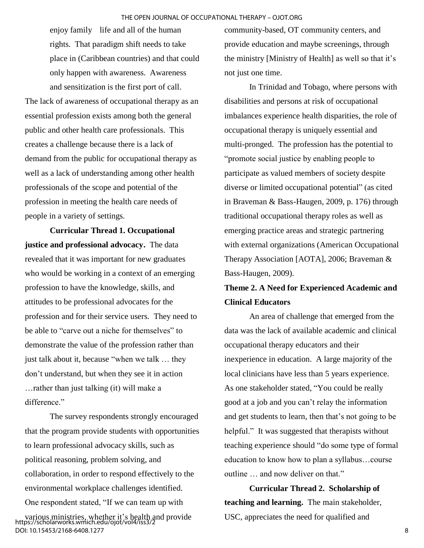enjoy family life and all of the human rights. That paradigm shift needs to take place in (Caribbean countries) and that could only happen with awareness. Awareness and sensitization is the first port of call.

The lack of awareness of occupational therapy as an essential profession exists among both the general public and other health care professionals. This creates a challenge because there is a lack of demand from the public for occupational therapy as well as a lack of understanding among other health professionals of the scope and potential of the profession in meeting the health care needs of people in a variety of settings.

**Curricular Thread 1. Occupational justice and professional advocacy.** The data revealed that it was important for new graduates who would be working in a context of an emerging profession to have the knowledge, skills, and attitudes to be professional advocates for the profession and for their service users. They need to be able to "carve out a niche for themselves" to demonstrate the value of the profession rather than just talk about it, because "when we talk ... they don't understand, but when they see it in action …rather than just talking (it) will make a difference."

 The survey respondents strongly encouraged that the program provide students with opportunities to learn professional advocacy skills, such as political reasoning, problem solving, and collaboration, in order to respond effectively to the environmental workplace challenges identified. One respondent stated, "If we can team up with

various ministries, whether it's health and provide https://scholarworks.wmich.edu/ojot/vol4/iss3/2 DOI: 10.15453/2168-6408.1277

community-based, OT community centers, and provide education and maybe screenings, through the ministry [Ministry of Health] as well so that it's not just one time.

 In Trinidad and Tobago, where persons with disabilities and persons at risk of occupational imbalances experience health disparities, the role of occupational therapy is uniquely essential and multi-pronged. The profession has the potential to "promote social justice by enabling people to participate as valued members of society despite diverse or limited occupational potential" (as cited in Braveman & Bass-Haugen, 2009, p. 176) through traditional occupational therapy roles as well as emerging practice areas and strategic partnering with external organizations (American Occupational Therapy Association [AOTA], 2006; Braveman & Bass-Haugen, 2009).

### **Theme 2. A Need for Experienced Academic and Clinical Educators**

An area of challenge that emerged from the data was the lack of available academic and clinical occupational therapy educators and their inexperience in education. A large majority of the local clinicians have less than 5 years experience. As one stakeholder stated, "You could be really good at a job and you can't relay the information and get students to learn, then that's not going to be helpful." It was suggested that therapists without teaching experience should "do some type of formal education to know how to plan a syllabus…course outline … and now deliver on that."

**Curricular Thread 2. Scholarship of teaching and learning.** The main stakeholder, USC, appreciates the need for qualified and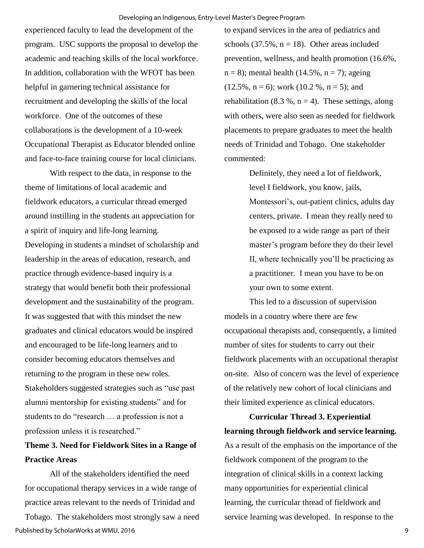experienced faculty to lead the development of the program. USC supports the proposal to develop the academic and teaching skills of the local workforce. In addition, collaboration with the WFOT has been helpful in garnering technical assistance for recruitment and developing the skills of the local workforce. One of the outcomes of these collaborations is the development of a 10-week Occupational Therapist as Educator blended online and face-to-face training course for local clinicians.

With respect to the data, in response to the theme of limitations of local academic and fieldwork educators, a curricular thread emerged around instilling in the students an appreciation for a spirit of inquiry and life-long learning. Developing in students a mindset of scholarship and leadership in the areas of education, research, and practice through evidence-based inquiry is a strategy that would benefit both their professional development and the sustainability of the program. It was suggested that with this mindset the new graduates and clinical educators would be inspired and encouraged to be life-long learners and to consider becoming educators themselves and returning to the program in these new roles. Stakeholders suggested strategies such as "use past alumni mentorship for existing students" and for students to do "research … a profession is not a profession unless it is researched."

# **Theme 3. Need for Fieldwork Sites in a Range of Practice Areas**

All of the stakeholders identified the need for occupational therapy services in a wide range of practice areas relevant to the needs of Trinidad and

Tobago. The stakeholders most strongly saw a need Published by ScholarWorks at WMU, 2016

to expand services in the area of pediatrics and schools  $(37.5\%, n = 18)$ . Other areas included prevention, wellness, and health promotion (16.6%,  $n = 8$ ; mental health (14.5%,  $n = 7$ ); ageing  $(12.5\%, n = 6)$ ; work  $(10.2\%, n = 5)$ ; and rehabilitation (8.3 %,  $n = 4$ ). These settings, along with others, were also seen as needed for fieldwork placements to prepare graduates to meet the health needs of Trinidad and Tobago. One stakeholder commented:

> Definitely, they need a lot of fieldwork, level I fieldwork, you know, jails,

Montessori's, out-patient clinics, adults day centers, private. I mean they really need to be exposed to a wide range as part of their master's program before they do their level II, where technically you'll be practicing as a practitioner. I mean you have to be on your own to some extent.

This led to a discussion of supervision models in a country where there are few occupational therapists and, consequently, a limited number of sites for students to carry out their fieldwork placements with an occupational therapist on-site. Also of concern was the level of experience of the relatively new cohort of local clinicians and their limited experience as clinical educators.

**Curricular Thread 3. Experiential learning through fieldwork and service learning.** As a result of the emphasis on the importance of the fieldwork component of the program to the integration of clinical skills in a context lacking many opportunities for experiential clinical learning, the curricular thread of fieldwork and service learning was developed. In response to the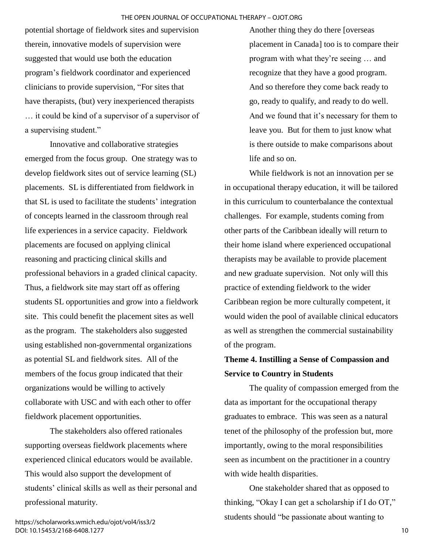potential shortage of fieldwork sites and supervision therein, innovative models of supervision were suggested that would use both the education program's fieldwork coordinator and experienced clinicians to provide supervision, "For sites that have therapists, (but) very inexperienced therapists … it could be kind of a supervisor of a supervisor of a supervising student."

Innovative and collaborative strategies emerged from the focus group. One strategy was to develop fieldwork sites out of service learning (SL) placements. SL is differentiated from fieldwork in that SL is used to facilitate the students' integration of concepts learned in the classroom through real life experiences in a service capacity. Fieldwork placements are focused on applying clinical reasoning and practicing clinical skills and professional behaviors in a graded clinical capacity. Thus, a fieldwork site may start off as offering students SL opportunities and grow into a fieldwork site. This could benefit the placement sites as well as the program. The stakeholders also suggested using established non-governmental organizations as potential SL and fieldwork sites. All of the members of the focus group indicated that their organizations would be willing to actively collaborate with USC and with each other to offer fieldwork placement opportunities.

 The stakeholders also offered rationales supporting overseas fieldwork placements where experienced clinical educators would be available. This would also support the development of students' clinical skills as well as their personal and professional maturity.

Another thing they do there [overseas placement in Canada] too is to compare their program with what they're seeing … and recognize that they have a good program. And so therefore they come back ready to go, ready to qualify, and ready to do well. And we found that it's necessary for them to leave you. But for them to just know what is there outside to make comparisons about life and so on.

 While fieldwork is not an innovation per se in occupational therapy education, it will be tailored in this curriculum to counterbalance the contextual challenges. For example, students coming from other parts of the Caribbean ideally will return to their home island where experienced occupational therapists may be available to provide placement and new graduate supervision. Not only will this practice of extending fieldwork to the wider Caribbean region be more culturally competent, it would widen the pool of available clinical educators as well as strengthen the commercial sustainability of the program.

## **Theme 4. Instilling a Sense of Compassion and Service to Country in Students**

The quality of compassion emerged from the data as important for the occupational therapy graduates to embrace. This was seen as a natural tenet of the philosophy of the profession but, more importantly, owing to the moral responsibilities seen as incumbent on the practitioner in a country with wide health disparities.

One stakeholder shared that as opposed to thinking, "Okay I can get a scholarship if I do OT," students should "be passionate about wanting to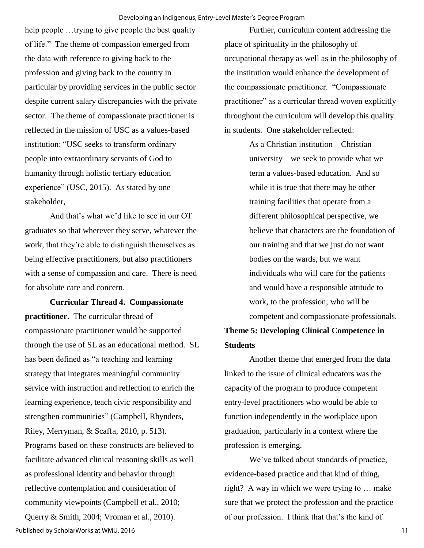help people …trying to give people the best quality of life." The theme of compassion emerged from the data with reference to giving back to the profession and giving back to the country in particular by providing services in the public sector despite current salary discrepancies with the private sector. The theme of compassionate practitioner is reflected in the mission of USC as a values-based institution: "USC seeks to transform ordinary people into extraordinary servants of God to humanity through holistic tertiary education experience" (USC, 2015). As stated by one stakeholder,

And that's what we'd like to see in our OT graduates so that wherever they serve, whatever the work, that they're able to distinguish themselves as being effective practitioners, but also practitioners with a sense of compassion and care. There is need for absolute care and concern.

**Curricular Thread 4. Compassionate practitioner.** The curricular thread of compassionate practitioner would be supported through the use of SL as an educational method. SL has been defined as "a teaching and learning strategy that integrates meaningful community service with instruction and reflection to enrich the learning experience, teach civic responsibility and strengthen communities" (Campbell, Rhynders, Riley, Merryman, & Scaffa, 2010, p. 513). Programs based on these constructs are believed to facilitate advanced clinical reasoning skills as well as professional identity and behavior through reflective contemplation and consideration of community viewpoints (Campbell et al., 2010; Querry & Smith, 2004; Vroman et al., 2010). Published by ScholarWorks at WMU, 2016

 Further, curriculum content addressing the place of spirituality in the philosophy of occupational therapy as well as in the philosophy of the institution would enhance the development of the compassionate practitioner. "Compassionate practitioner" as a curricular thread woven explicitly throughout the curriculum will develop this quality in students. One stakeholder reflected:

> As a Christian institution—Christian university—we seek to provide what we term a values-based education. And so while it is true that there may be other training facilities that operate from a different philosophical perspective, we believe that characters are the foundation of our training and that we just do not want bodies on the wards, but we want individuals who will care for the patients and would have a responsible attitude to work, to the profession; who will be competent and compassionate professionals.

# **Theme 5: Developing Clinical Competence in Students**

Another theme that emerged from the data linked to the issue of clinical educators was the capacity of the program to produce competent entry-level practitioners who would be able to function independently in the workplace upon graduation, particularly in a context where the profession is emerging.

We've talked about standards of practice, evidence-based practice and that kind of thing, right? A way in which we were trying to … make sure that we protect the profession and the practice of our profession. I think that that's the kind of

11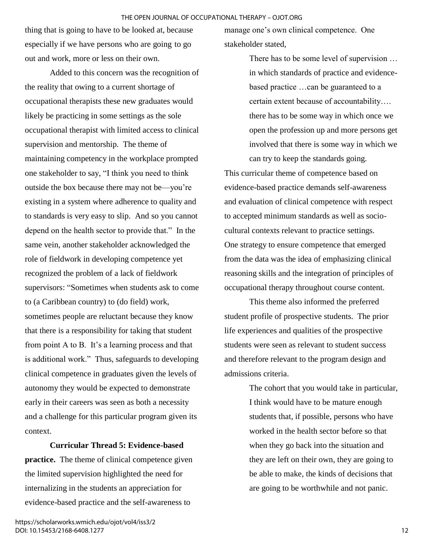thing that is going to have to be looked at, because especially if we have persons who are going to go out and work, more or less on their own.

Added to this concern was the recognition of the reality that owing to a current shortage of occupational therapists these new graduates would likely be practicing in some settings as the sole occupational therapist with limited access to clinical supervision and mentorship. The theme of maintaining competency in the workplace prompted one stakeholder to say, "I think you need to think outside the box because there may not be—you're existing in a system where adherence to quality and to standards is very easy to slip. And so you cannot depend on the health sector to provide that." In the same vein, another stakeholder acknowledged the role of fieldwork in developing competence yet recognized the problem of a lack of fieldwork supervisors: "Sometimes when students ask to come to (a Caribbean country) to (do field) work, sometimes people are reluctant because they know that there is a responsibility for taking that student from point A to B. It's a learning process and that is additional work." Thus, safeguards to developing clinical competence in graduates given the levels of autonomy they would be expected to demonstrate early in their careers was seen as both a necessity and a challenge for this particular program given its context.

**Curricular Thread 5: Evidence-based practice.** The theme of clinical competence given the limited supervision highlighted the need for internalizing in the students an appreciation for evidence-based practice and the self-awareness to

manage one's own clinical competence. One stakeholder stated,

> There has to be some level of supervision … in which standards of practice and evidencebased practice …can be guaranteed to a certain extent because of accountability…. there has to be some way in which once we open the profession up and more persons get involved that there is some way in which we can try to keep the standards going.

This curricular theme of competence based on evidence-based practice demands self-awareness and evaluation of clinical competence with respect to accepted minimum standards as well as sociocultural contexts relevant to practice settings. One strategy to ensure competence that emerged from the data was the idea of emphasizing clinical reasoning skills and the integration of principles of occupational therapy throughout course content.

 This theme also informed the preferred student profile of prospective students. The prior life experiences and qualities of the prospective students were seen as relevant to student success and therefore relevant to the program design and admissions criteria.

> The cohort that you would take in particular, I think would have to be mature enough students that, if possible, persons who have worked in the health sector before so that when they go back into the situation and they are left on their own, they are going to be able to make, the kinds of decisions that are going to be worthwhile and not panic.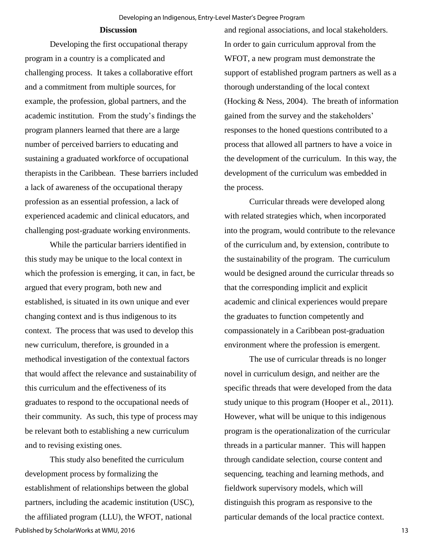#### **Discussion**

Developing the first occupational therapy program in a country is a complicated and challenging process. It takes a collaborative effort and a commitment from multiple sources, for example, the profession, global partners, and the academic institution. From the study's findings the program planners learned that there are a large number of perceived barriers to educating and sustaining a graduated workforce of occupational therapists in the Caribbean. These barriers included a lack of awareness of the occupational therapy profession as an essential profession, a lack of experienced academic and clinical educators, and challenging post-graduate working environments.

While the particular barriers identified in this study may be unique to the local context in which the profession is emerging, it can, in fact, be argued that every program, both new and established, is situated in its own unique and ever changing context and is thus indigenous to its context. The process that was used to develop this new curriculum, therefore, is grounded in a methodical investigation of the contextual factors that would affect the relevance and sustainability of this curriculum and the effectiveness of its graduates to respond to the occupational needs of their community. As such, this type of process may be relevant both to establishing a new curriculum and to revising existing ones.

This study also benefited the curriculum development process by formalizing the establishment of relationships between the global partners, including the academic institution (USC), the affiliated program (LLU), the WFOT, national Published by ScholarWorks at WMU, 2016

and regional associations, and local stakeholders. In order to gain curriculum approval from the WFOT, a new program must demonstrate the support of established program partners as well as a thorough understanding of the local context (Hocking & Ness, 2004). The breath of information gained from the survey and the stakeholders' responses to the honed questions contributed to a process that allowed all partners to have a voice in the development of the curriculum. In this way, the development of the curriculum was embedded in the process.

Curricular threads were developed along with related strategies which, when incorporated into the program, would contribute to the relevance of the curriculum and, by extension, contribute to the sustainability of the program. The curriculum would be designed around the curricular threads so that the corresponding implicit and explicit academic and clinical experiences would prepare the graduates to function competently and compassionately in a Caribbean post-graduation environment where the profession is emergent.

 The use of curricular threads is no longer novel in curriculum design, and neither are the specific threads that were developed from the data study unique to this program (Hooper et al., 2011). However, what will be unique to this indigenous program is the operationalization of the curricular threads in a particular manner. This will happen through candidate selection, course content and sequencing, teaching and learning methods, and fieldwork supervisory models, which will distinguish this program as responsive to the particular demands of the local practice context.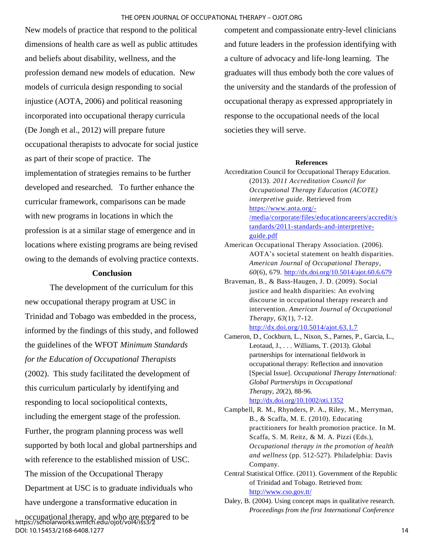New models of practice that respond to the political dimensions of health care as well as public attitudes and beliefs about disability, wellness, and the profession demand new models of education. New models of curricula design responding to social injustice (AOTA, 2006) and political reasoning incorporated into occupational therapy curricula (De Jongh et al., 2012) will prepare future occupational therapists to advocate for social justice as part of their scope of practice. The implementation of strategies remains to be further developed and researched. To further enhance the curricular framework, comparisons can be made with new programs in locations in which the profession is at a similar stage of emergence and in locations where existing programs are being revised owing to the demands of evolving practice contexts.

#### **Conclusion**

The development of the curriculum for this new occupational therapy program at USC in Trinidad and Tobago was embedded in the process, informed by the findings of this study, and followed the guidelines of the WFOT *Minimum Standards for the Education of Occupational Therapists* (2002). This study facilitated the development of this curriculum particularly by identifying and responding to local sociopolitical contexts, including the emergent stage of the profession. Further, the program planning process was well supported by both local and global partnerships and with reference to the established mission of USC. The mission of the Occupational Therapy Department at USC is to graduate individuals who have undergone a transformative education in

occupational therapy, and who are prepared to be https://scholarworks.wmich.edu/ojot/vol4/iss3/2 DOI: 10.15453/2168-6408.1277

competent and compassionate entry-level clinicians and future leaders in the profession identifying with a culture of advocacy and life-long learning. The graduates will thus embody both the core values of the university and the standards of the profession of occupational therapy as expressed appropriately in response to the occupational needs of the local societies they will serve.

#### **References**

Accreditation Council for Occupational Therapy Education. (2013). *2011 Accreditation Council for Occupational Therapy Education (ACOTE) interpretive guide*. Retrieved from [https://www.aota.org/-](https://www.aota.org/-/media/corporate/files/educationcareers/accredit/standards/2011-standards-and-interpretive-guide.pdf) [/media/corporate/files/educationcareers/accredit/s](https://www.aota.org/-/media/corporate/files/educationcareers/accredit/standards/2011-standards-and-interpretive-guide.pdf) [tandards/2011-standards-and-interpretive](https://www.aota.org/-/media/corporate/files/educationcareers/accredit/standards/2011-standards-and-interpretive-guide.pdf)[guide.pdf](https://www.aota.org/-/media/corporate/files/educationcareers/accredit/standards/2011-standards-and-interpretive-guide.pdf)

American Occupational Therapy Association. (2006). AOTA's societal statement on health disparities. *American Journal of Occupational Therapy*, *60*(6), 679.<http://dx.doi.org/10.5014/ajot.60.6.679>

Braveman, B., & Bass-Haugen, J. D. (2009). Social justice and health disparities: An evolving discourse in occupational therapy research and intervention. *American Journal of Occupational Therapy*, *63*(1), 7-12. <http://dx.doi.org/10.5014/ajot.63.1.7>

Cameron, D., Cockburn, L., Nixon, S., Parnes, P., Garcia, L., Leotaud, J., . . . Williams, T. (2013). Global partnerships for international fieldwork in occupational therapy: Reflection and innovation [Special Issue]. *Occupational Therapy International: Global Partnerships in Occupational Therapy*, *20*[\(2\), 8](http://onlinelibrary.wiley.com/doi/10.1002/oti.v20.2/issuetoc)8-96.

<http://dx.doi.org/10.1002/oti.1352>

Campbell, R. M., Rhynders, P. A., Riley, M., Merryman, B., & Scaffa, M. E. (2010). Educating practitioners for health promotion practice. In M. Scaffa, S. M. Reitz, & M. A. Pizzi (Eds.), *Occupational therapy in the promotion of health and wellness* (pp. 512-527). Philadelphia: Davis Company.

Central Statistical Office. (2011). Government of the Republic of Trinidad and Tobago. Retrieved from: <http://www.cso.gov.tt/>

Daley, B. (2004). Using concept maps in qualitative research. *Proceedings from the first International Conference*